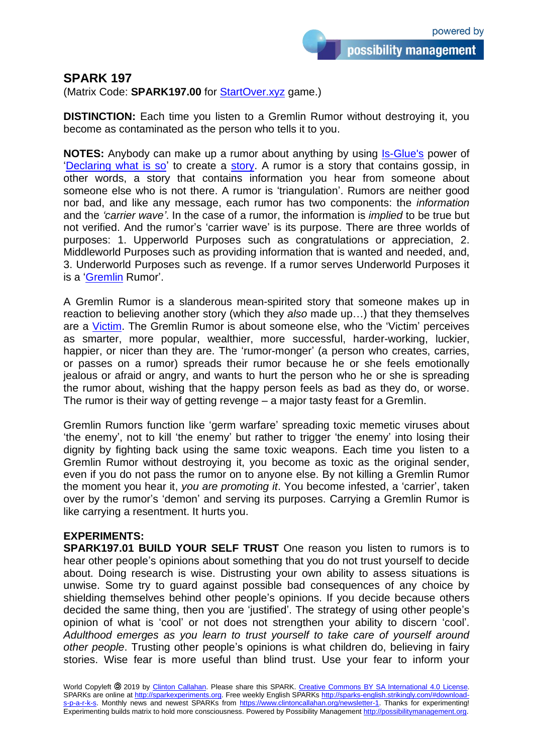## **SPARK 197**

(Matrix Code: **SPARK197.00** for [StartOver.xyz](http://startover.xyz/) game.)

**DISTINCTION:** Each time you listen to a Gremlin Rumor without destroying it, you become as contaminated as the person who tells it to you.

**NOTES:** Anybody can make up a rumor about anything by using [Is-Glue's](http://isglue.mystrikingly.com/) power of ['Declaring what is so'](http://declaring.mystrikingly.com/) to create a [story.](http://storyworld.mystrikingly.com/) A rumor is a story that contains gossip, in other words, a story that contains information you hear from someone about someone else who is not there. A rumor is 'triangulation'. Rumors are neither good nor bad, and like any message, each rumor has two components: the *information* and the *'carrier wave'*. In the case of a rumor, the information is *implied* to be true but not verified. And the rumor's 'carrier wave' is its purpose. There are three worlds of purposes: 1. Upperworld Purposes such as congratulations or appreciation, 2. Middleworld Purposes such as providing information that is wanted and needed, and, 3. Underworld Purposes such as revenge. If a rumor serves Underworld Purposes it is a ['Gremlin](http://yourgremlin.xyz/) Rumor'.

A Gremlin Rumor is a slanderous mean-spirited story that someone makes up in reaction to believing another story (which they *also* made up…) that they themselves are a [Victim.](http://mapofpossibility.mystrikingly.com/) The Gremlin Rumor is about someone else, who the 'Victim' perceives as smarter, more popular, wealthier, more successful, harder-working, luckier, happier, or nicer than they are. The 'rumor-monger' (a person who creates, carries, or passes on a rumor) spreads their rumor because he or she feels emotionally jealous or afraid or angry, and wants to hurt the person who he or she is spreading the rumor about, wishing that the happy person feels as bad as they do, or worse. The rumor is their way of getting revenge – a major tasty feast for a Gremlin.

Gremlin Rumors function like 'germ warfare' spreading toxic memetic viruses about 'the enemy', not to kill 'the enemy' but rather to trigger 'the enemy' into losing their dignity by fighting back using the same toxic weapons. Each time you listen to a Gremlin Rumor without destroying it, you become as toxic as the original sender, even if you do not pass the rumor on to anyone else. By not killing a Gremlin Rumor the moment you hear it, *you are promoting it*. You become infested, a 'carrier', taken over by the rumor's 'demon' and serving its purposes. Carrying a Gremlin Rumor is like carrying a resentment. It hurts you.

## **EXPERIMENTS:**

**SPARK197.01 BUILD YOUR SELF TRUST** One reason you listen to rumors is to hear other people's opinions about something that you do not trust yourself to decide about. Doing research is wise. Distrusting your own ability to assess situations is unwise. Some try to guard against possible bad consequences of any choice by shielding themselves behind other people's opinions. If you decide because others decided the same thing, then you are 'justified'. The strategy of using other people's opinion of what is 'cool' or not does not strengthen your ability to discern 'cool'. *Adulthood emerges as you learn to trust yourself to take care of yourself around other people*. Trusting other people's opinions is what children do, believing in fairy stories. Wise fear is more useful than blind trust. Use your fear to inform your